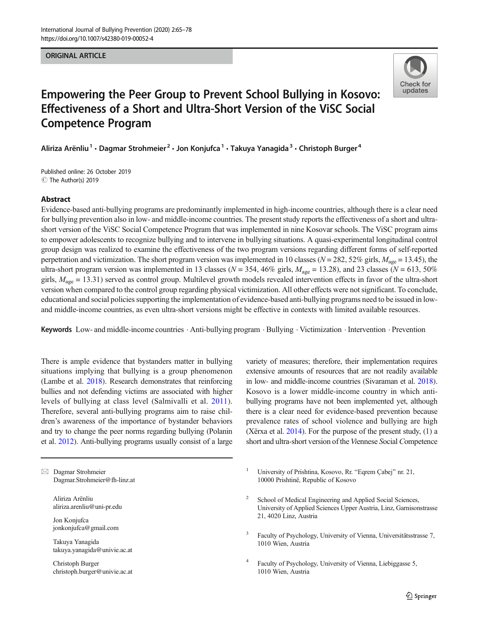ORIGINAL ARTICLE



# Empowering the Peer Group to Prevent School Bullying in Kosovo: Effectiveness of a Short and Ultra-Short Version of the ViSC Social Competence Program

Aliriza Arënliu<sup>1</sup> • Dagmar Strohmeier<sup>2</sup> • Jon Konjufca<sup>1</sup> • Takuya Yanagida<sup>3</sup> • Christoph Burger<sup>4</sup>

C The Author(s) 2019 Published online: 26 October 2019

#### Abstract

Evidence-based anti-bullying programs are predominantly implemented in high-income countries, although there is a clear need for bullying prevention also in low- and middle-income countries. The present study reports the effectiveness of a short and ultrashort version of the ViSC Social Competence Program that was implemented in nine Kosovar schools. The ViSC program aims to empower adolescents to recognize bullying and to intervene in bullying situations. A quasi-experimental longitudinal control group design was realized to examine the effectiveness of the two program versions regarding different forms of self-reported perpetration and victimization. The short program version was implemented in 10 classes ( $N = 282$ , 52% girls,  $M_{\text{age}} = 13.45$ ), the ultra-short program version was implemented in 13 classes ( $N = 354$ , 46% girls,  $M_{\text{age}} = 13.28$ ), and 23 classes ( $N = 613$ , 50% girls,  $M_{\text{age}} = 13.31$ ) served as control group. Multilevel growth models revealed intervention effects in favor of the ultra-short version when compared to the control group regarding physical victimization. All other effects were not significant. To conclude, educational and social policies supporting the implementation of evidence-based anti-bullying programs need to be issued in lowand middle-income countries, as even ultra-short versions might be effective in contexts with limited available resources.

Keywords Low- and middle-income countries . Anti-bullying program . Bullying . Victimization . Intervention . Prevention

There is ample evidence that bystanders matter in bullying situations implying that bullying is a group phenomenon (Lambe et al. [2018](#page-12-0)). Research demonstrates that reinforcing bullies and not defending victims are associated with higher levels of bullying at class level (Salmivalli et al. [2011](#page-12-0)). Therefore, several anti-bullying programs aim to raise children's awareness of the importance of bystander behaviors and try to change the peer norms regarding bullying (Polanin et al. [2012\)](#page-12-0). Anti-bullying programs usually consist of a large

 $\boxtimes$  Dagmar Strohmeier [Dagmar.Strohmeier@fh-linz.at](mailto:Dagmar.Strohmeier@fh-linz.at)

> Aliriza Arënliu aliriza.arenliu@uni-pr.edu

Jon Konjufca jonkonjufca@gmail.com

Takuya Yanagida takuya.yanagida@univie.ac.at

Christoph Burger christoph.burger@univie.ac.at variety of measures; therefore, their implementation requires extensive amounts of resources that are not readily available in low- and middle-income countries (Sivaraman et al. [2018\)](#page-12-0). Kosovo is a lower middle-income country in which antibullying programs have not been implemented yet, although there is a clear need for evidence-based prevention because prevalence rates of school violence and bullying are high (Xërxa et al. [2014](#page-13-0)). For the purpose of the present study, (1) a short and ultra-short version of the Viennese Social Competence

University of Prishtina, Kosovo, Rr. "Eqrem Çabej" nr. 21, 10000 Prishtinë, Republic of Kosovo

<sup>2</sup> School of Medical Engineering and Applied Social Sciences, University of Applied Sciences Upper Austria, Linz, Garnisonstrasse 21, 4020 Linz, Austria

- <sup>3</sup> Faculty of Psychology, University of Vienna, Universitätsstrasse 7, 1010 Wien, Austria
- <sup>4</sup> Faculty of Psychology, University of Vienna, Liebiggasse 5, 1010 Wien, Austria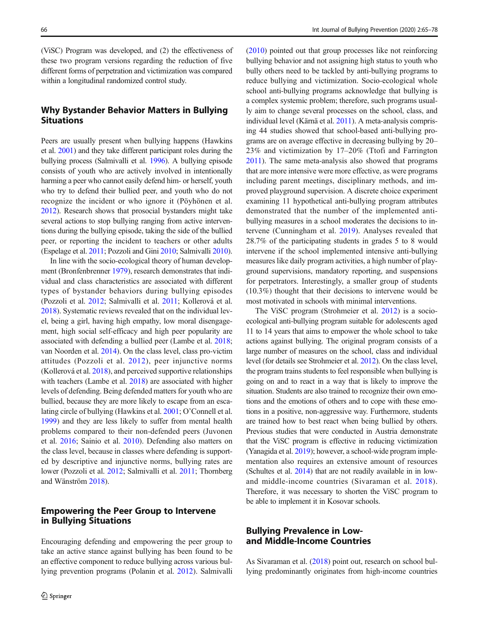(ViSC) Program was developed, and (2) the effectiveness of these two program versions regarding the reduction of five different forms of perpetration and victimization was compared within a longitudinal randomized control study.

## Why Bystander Behavior Matters in Bullying **Situations**

Peers are usually present when bullying happens (Hawkins et al. [2001\)](#page-12-0) and they take different participant roles during the bullying process (Salmivalli et al. [1996](#page-12-0)). A bullying episode consists of youth who are actively involved in intentionally harming a peer who cannot easily defend him- or herself, youth who try to defend their bullied peer, and youth who do not recognize the incident or who ignore it (Pöyhönen et al. [2012](#page-12-0)). Research shows that prosocial bystanders might take several actions to stop bullying ranging from active interventions during the bullying episode, taking the side of the bullied peer, or reporting the incident to teachers or other adults (Espelage et al. [2011](#page-11-0); Pozzoli and Gini [2010;](#page-12-0) Salmivalli [2010\)](#page-12-0).

In line with the socio-ecological theory of human development (Bronfenbrenner [1979\)](#page-11-0), research demonstrates that individual and class characteristics are associated with different types of bystander behaviors during bullying episodes (Pozzoli et al. [2012](#page-12-0); Salmivalli et al. [2011](#page-12-0); Kollerová et al. [2018\)](#page-12-0). Systematic reviews revealed that on the individual level, being a girl, having high empathy, low moral disengagement, high social self-efficacy and high peer popularity are associated with defending a bullied peer (Lambe et al. [2018](#page-12-0); van Noorden et al. [2014](#page-13-0)). On the class level, class pro-victim attitudes (Pozzoli et al. [2012](#page-12-0)), peer injunctive norms (Kollerová et al. [2018](#page-12-0)), and perceived supportive relationships with teachers (Lambe et al. [2018\)](#page-12-0) are associated with higher levels of defending. Being defended matters for youth who are bullied, because they are more likely to escape from an escalating circle of bullying (Hawkins et al. [2001;](#page-12-0) O'Connell et al. [1999\)](#page-12-0) and they are less likely to suffer from mental health problems compared to their non-defended peers (Juvonen et al. [2016;](#page-12-0) Sainio et al. [2010](#page-12-0)). Defending also matters on the class level, because in classes where defending is supported by descriptive and injunctive norms, bullying rates are lower (Pozzoli et al. [2012;](#page-12-0) Salmivalli et al. [2011;](#page-12-0) Thornberg and Wänström [2018](#page-12-0)).

### Empowering the Peer Group to Intervene in Bullying Situations

Encouraging defending and empowering the peer group to take an active stance against bullying has been found to be an effective component to reduce bullying across various bullying prevention programs (Polanin et al. [2012](#page-12-0)). Salmivalli

[\(2010\)](#page-12-0) pointed out that group processes like not reinforcing bullying behavior and not assigning high status to youth who bully others need to be tackled by anti-bullying programs to reduce bullying and victimization. Socio-ecological whole school anti-bullying programs acknowledge that bullying is a complex systemic problem; therefore, such programs usually aim to change several processes on the school, class, and individual level (Kärnä et al. [2011\)](#page-12-0). A meta-analysis comprising 44 studies showed that school-based anti-bullying programs are on average effective in decreasing bullying by 20– 23% and victimization by 17–20% (Ttofi and Farrington [2011\)](#page-12-0). The same meta-analysis also showed that programs that are more intensive were more effective, as were programs including parent meetings, disciplinary methods, and improved playground supervision. A discrete choice experiment examining 11 hypothetical anti-bullying program attributes demonstrated that the number of the implemented antibullying measures in a school moderates the decisions to intervene (Cunningham et al. [2019](#page-11-0)). Analyses revealed that 28.7% of the participating students in grades 5 to 8 would intervene if the school implemented intensive anti-bullying measures like daily program activities, a high number of playground supervisions, mandatory reporting, and suspensions for perpetrators. Interestingly, a smaller group of students (10.3%) thought that their decisions to intervene would be most motivated in schools with minimal interventions.

The ViSC program (Strohmeier et al. [2012](#page-12-0)) is a socioecological anti-bullying program suitable for adolescents aged 11 to 14 years that aims to empower the whole school to take actions against bullying. The original program consists of a large number of measures on the school, class and individual level (for details see Strohmeier et al. [2012\)](#page-12-0). On the class level, the program trains students to feel responsible when bullying is going on and to react in a way that is likely to improve the situation. Students are also trained to recognize their own emotions and the emotions of others and to cope with these emotions in a positive, non-aggressive way. Furthermore, students are trained how to best react when being bullied by others. Previous studies that were conducted in Austria demonstrate that the ViSC program is effective in reducing victimization (Yanagida et al. [2019\)](#page-13-0); however, a school-wide program implementation also requires an extensive amount of resources (Schultes et al. [2014\)](#page-12-0) that are not readily available in in lowand middle-income countries (Sivaraman et al. [2018](#page-12-0)). Therefore, it was necessary to shorten the ViSC program to be able to implement it in Kosovar schools.

# Bullying Prevalence in Lowand Middle-Income Countries

As Sivaraman et al. [\(2018\)](#page-12-0) point out, research on school bullying predominantly originates from high-income countries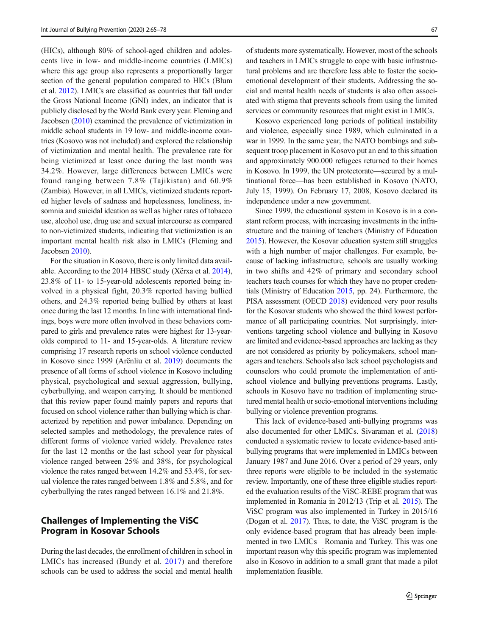(HICs), although 80% of school-aged children and adolescents live in low- and middle-income countries (LMICs) where this age group also represents a proportionally larger section of the general population compared to HICs (Blum et al. [2012](#page-11-0)). LMICs are classified as countries that fall under the Gross National Income (GNI) index, an indicator that is publicly disclosed by the World Bank every year. Fleming and Jacobsen [\(2010\)](#page-11-0) examined the prevalence of victimization in middle school students in 19 low- and middle-income countries (Kosovo was not included) and explored the relationship of victimization and mental health. The prevalence rate for being victimized at least once during the last month was 34.2%. However, large differences between LMICs were found ranging between 7.8% (Tajikistan) and 60.9% (Zambia). However, in all LMICs, victimized students reported higher levels of sadness and hopelessness, loneliness, insomnia and suicidal ideation as well as higher rates of tobacco use, alcohol use, drug use and sexual intercourse as compared to non-victimized students, indicating that victimization is an important mental health risk also in LMICs (Fleming and Jacobsen [2010](#page-11-0)).

For the situation in Kosovo, there is only limited data available. According to the 2014 HBSC study (Xërxa et al. [2014\)](#page-13-0), 23.8% of 11- to 15-year-old adolescents reported being involved in a physical fight, 20.3% reported having bullied others, and 24.3% reported being bullied by others at least once during the last 12 months. In line with international findings, boys were more often involved in these behaviors compared to girls and prevalence rates were highest for 13-yearolds compared to 11- and 15-year-olds. A literature review comprising 17 research reports on school violence conducted in Kosovo since 1999 (Arënliu et al. [2019](#page-11-0)) documents the presence of all forms of school violence in Kosovo including physical, psychological and sexual aggression, bullying, cyberbullying, and weapon carrying. It should be mentioned that this review paper found mainly papers and reports that focused on school violence rather than bullying which is characterized by repetition and power imbalance. Depending on selected samples and methodology, the prevalence rates of different forms of violence varied widely. Prevalence rates for the last 12 months or the last school year for physical violence ranged between 25% and 38%, for psychological violence the rates ranged between 14.2% and 53.4%, for sexual violence the rates ranged between 1.8% and 5.8%, and for cyberbullying the rates ranged between 16.1% and 21.8%.

# Challenges of Implementing the ViSC Program in Kosovar Schools

During the last decades, the enrollment of children in school in LMICs has increased (Bundy et al. [2017](#page-11-0)) and therefore schools can be used to address the social and mental health of students more systematically. However, most of the schools and teachers in LMICs struggle to cope with basic infrastructural problems and are therefore less able to foster the socioemotional development of their students. Addressing the social and mental health needs of students is also often associated with stigma that prevents schools from using the limited services or community resources that might exist in LMICs.

Kosovo experienced long periods of political instability and violence, especially since 1989, which culminated in a war in 1999. In the same year, the NATO bombings and subsequent troop placement in Kosovo put an end to this situation and approximately 900.000 refugees returned to their homes in Kosovo. In 1999, the UN protectorate—secured by a multinational force—has been established in Kosovo (NATO, July 15, 1999). On February 17, 2008, Kosovo declared its independence under a new government.

Since 1999, the educational system in Kosovo is in a constant reform process, with increasing investments in the infrastructure and the training of teachers (Ministry of Education [2015\)](#page-12-0). However, the Kosovar education system still struggles with a high number of major challenges. For example, because of lacking infrastructure, schools are usually working in two shifts and 42% of primary and secondary school teachers teach courses for which they have no proper credentials (Ministry of Education [2015,](#page-12-0) pp. 24). Furthermore, the PISA assessment (OECD [2018\)](#page-12-0) evidenced very poor results for the Kosovar students who showed the third lowest performance of all participating countries. Not surprisingly, interventions targeting school violence and bullying in Kosovo are limited and evidence-based approaches are lacking as they are not considered as priority by policymakers, school managers and teachers. Schools also lack school psychologists and counselors who could promote the implementation of antischool violence and bullying preventions programs. Lastly, schools in Kosovo have no tradition of implementing structured mental health or socio-emotional interventions including bullying or violence prevention programs.

This lack of evidence-based anti-bullying programs was also documented for other LMICs. Sivaraman et al. [\(2018](#page-12-0)) conducted a systematic review to locate evidence-based antibullying programs that were implemented in LMICs between January 1987 and June 2016. Over a period of 29 years, only three reports were eligible to be included in the systematic review. Importantly, one of these three eligible studies reported the evaluation results of the ViSC-REBE program that was implemented in Romania in 2012/13 (Trip et al. [2015](#page-12-0)). The ViSC program was also implemented in Turkey in 2015/16 (Dogan et al. [2017\)](#page-11-0). Thus, to date, the ViSC program is the only evidence-based program that has already been implemented in two LMICs—Romania and Turkey. This was one important reason why this specific program was implemented also in Kosovo in addition to a small grant that made a pilot implementation feasible.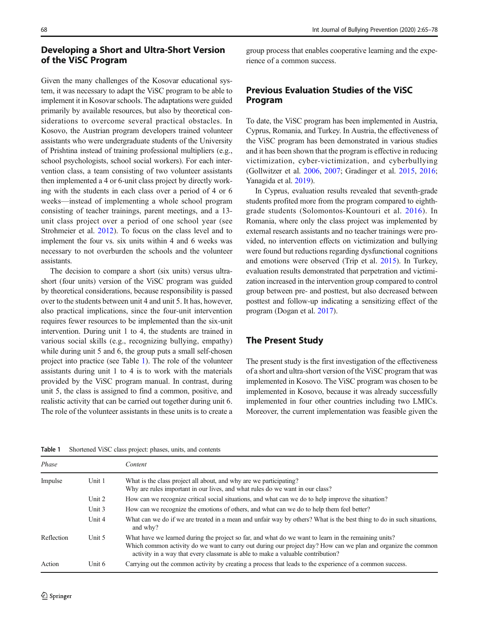# Developing a Short and Ultra-Short Version of the ViSC Program

Given the many challenges of the Kosovar educational system, it was necessary to adapt the ViSC program to be able to implement it in Kosovar schools. The adaptations were guided primarily by available resources, but also by theoretical considerations to overcome several practical obstacles. In Kosovo, the Austrian program developers trained volunteer assistants who were undergraduate students of the University of Prishtina instead of training professional multipliers (e.g., school psychologists, school social workers). For each intervention class, a team consisting of two volunteer assistants then implemented a 4 or 6-unit class project by directly working with the students in each class over a period of 4 or 6 weeks—instead of implementing a whole school program consisting of teacher trainings, parent meetings, and a 13 unit class project over a period of one school year (see Strohmeier et al. [2012](#page-12-0)). To focus on the class level and to implement the four vs. six units within 4 and 6 weeks was necessary to not overburden the schools and the volunteer assistants.

The decision to compare a short (six units) versus ultrashort (four units) version of the ViSC program was guided by theoretical considerations, because responsibility is passed over to the students between unit 4 and unit 5. It has, however, also practical implications, since the four-unit intervention requires fewer resources to be implemented than the six-unit intervention. During unit 1 to 4, the students are trained in various social skills (e.g., recognizing bullying, empathy) while during unit 5 and 6, the group puts a small self-chosen project into practice (see Table 1). The role of the volunteer assistants during unit 1 to 4 is to work with the materials provided by the ViSC program manual. In contrast, during unit 5, the class is assigned to find a common, positive, and realistic activity that can be carried out together during unit 6. The role of the volunteer assistants in these units is to create a group process that enables cooperative learning and the experience of a common success.

# Previous Evaluation Studies of the ViSC Program

To date, the ViSC program has been implemented in Austria, Cyprus, Romania, and Turkey. In Austria, the effectiveness of the ViSC program has been demonstrated in various studies and it has been shown that the program is effective in reducing victimization, cyber-victimization, and cyberbullying (Gollwitzer et al. [2006,](#page-11-0) [2007](#page-11-0); Gradinger et al. [2015,](#page-11-0) [2016;](#page-11-0) Yanagida et al. [2019](#page-13-0)).

In Cyprus, evaluation results revealed that seventh-grade students profited more from the program compared to eighthgrade students (Solomontos-Kountouri et al. [2016](#page-12-0)). In Romania, where only the class project was implemented by external research assistants and no teacher trainings were provided, no intervention effects on victimization and bullying were found but reductions regarding dysfunctional cognitions and emotions were observed (Trip et al. [2015\)](#page-12-0). In Turkey, evaluation results demonstrated that perpetration and victimization increased in the intervention group compared to control group between pre- and posttest, but also decreased between posttest and follow-up indicating a sensitizing effect of the program (Dogan et al. [2017\)](#page-11-0).

### The Present Study

The present study is the first investigation of the effectiveness of a short and ultra-short version of the ViSC program that was implemented in Kosovo. The ViSC program was chosen to be implemented in Kosovo, because it was already successfully implemented in four other countries including two LMICs. Moreover, the current implementation was feasible given the

| Phase      |        | Content                                                                                                                                                                                                                                                                                                  |
|------------|--------|----------------------------------------------------------------------------------------------------------------------------------------------------------------------------------------------------------------------------------------------------------------------------------------------------------|
| Impulse    | Unit 1 | What is the class project all about, and why are we participating?<br>Why are rules important in our lives, and what rules do we want in our class?                                                                                                                                                      |
|            | Unit 2 | How can we recognize critical social situations, and what can we do to help improve the situation?                                                                                                                                                                                                       |
|            | Unit 3 | How can we recognize the emotions of others, and what can we do to help them feel better?                                                                                                                                                                                                                |
|            | Unit 4 | What can we do if we are treated in a mean and unfair way by others? What is the best thing to do in such situations,<br>and why?                                                                                                                                                                        |
| Reflection | Unit 5 | What have we learned during the project so far, and what do we want to learn in the remaining units?<br>Which common activity do we want to carry out during our project day? How can we plan and organize the common<br>activity in a way that every classmate is able to make a valuable contribution? |
| Action     | Unit 6 | Carrying out the common activity by creating a process that leads to the experience of a common success.                                                                                                                                                                                                 |

Table 1 Shortened ViSC class project: phases, units, and contents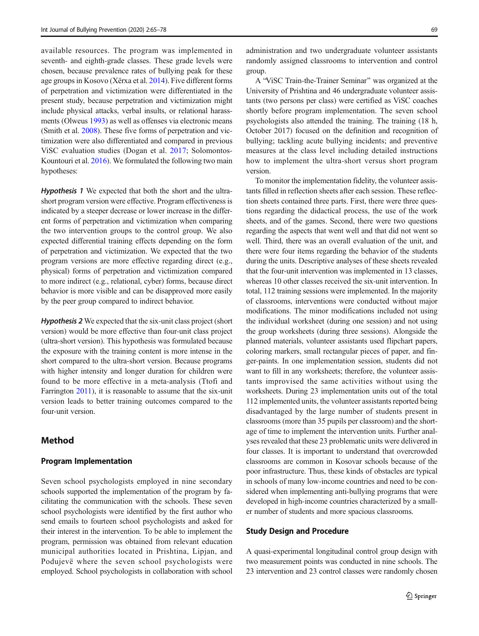available resources. The program was implemented in seventh- and eighth-grade classes. These grade levels were chosen, because prevalence rates of bullying peak for these age groups in Kosovo (Xërxa et al. [2014](#page-13-0)). Five different forms of perpetration and victimization were differentiated in the present study, because perpetration and victimization might include physical attacks, verbal insults, or relational harassments (Olweus [1993](#page-12-0)) as well as offenses via electronic means (Smith et al. [2008\)](#page-12-0). These five forms of perpetration and victimization were also differentiated and compared in previous ViSC evaluation studies (Dogan et al. [2017;](#page-11-0) Solomontos-Kountouri et al. [2016\)](#page-12-0). We formulated the following two main hypotheses:

Hypothesis 1 We expected that both the short and the ultrashort program version were effective. Program effectiveness is indicated by a steeper decrease or lower increase in the different forms of perpetration and victimization when comparing the two intervention groups to the control group. We also expected differential training effects depending on the form of perpetration and victimization. We expected that the two program versions are more effective regarding direct (e.g., physical) forms of perpetration and victimization compared to more indirect (e.g., relational, cyber) forms, because direct behavior is more visible and can be disapproved more easily by the peer group compared to indirect behavior.

Hypothesis 2 We expected that the six-unit class project (short version) would be more effective than four-unit class project (ultra-short version). This hypothesis was formulated because the exposure with the training content is more intense in the short compared to the ultra-short version. Because programs with higher intensity and longer duration for children were found to be more effective in a meta-analysis (Ttofi and Farrington [2011](#page-12-0)), it is reasonable to assume that the six-unit version leads to better training outcomes compared to the four-unit version.

# Method

#### Program Implementation

Seven school psychologists employed in nine secondary schools supported the implementation of the program by facilitating the communication with the schools. These seven school psychologists were identified by the first author who send emails to fourteen school psychologists and asked for their interest in the intervention. To be able to implement the program, permission was obtained from relevant education municipal authorities located in Prishtina, Lipjan, and Podujevë where the seven school psychologists were employed. School psychologists in collaboration with school

administration and two undergraduate volunteer assistants randomly assigned classrooms to intervention and control group.

A "ViSC Train-the-Trainer Seminar" was organized at the University of Prishtina and 46 undergraduate volunteer assistants (two persons per class) were certified as ViSC coaches shortly before program implementation. The seven school psychologists also attended the training. The training (18 h, October 2017) focused on the definition and recognition of bullying; tackling acute bullying incidents; and preventive measures at the class level including detailed instructions how to implement the ultra-short versus short program version.

To monitor the implementation fidelity, the volunteer assistants filled in reflection sheets after each session. These reflection sheets contained three parts. First, there were three questions regarding the didactical process, the use of the work sheets, and of the games. Second, there were two questions regarding the aspects that went well and that did not went so well. Third, there was an overall evaluation of the unit, and there were four items regarding the behavior of the students during the units. Descriptive analyses of these sheets revealed that the four-unit intervention was implemented in 13 classes, whereas 10 other classes received the six-unit intervention. In total, 112 training sessions were implemented. In the majority of classrooms, interventions were conducted without major modifications. The minor modifications included not using the individual worksheet (during one session) and not using the group worksheets (during three sessions). Alongside the planned materials, volunteer assistants used flipchart papers, coloring markers, small rectangular pieces of paper, and finger-paints. In one implementation session, students did not want to fill in any worksheets; therefore, the volunteer assistants improvised the same activities without using the worksheets. During 23 implementation units out of the total 112 implemented units, the volunteer assistants reported being disadvantaged by the large number of students present in classrooms (more than 35 pupils per classroom) and the shortage of time to implement the intervention units. Further analyses revealed that these 23 problematic units were delivered in four classes. It is important to understand that overcrowded classrooms are common in Kosovar schools because of the poor infrastructure. Thus, these kinds of obstacles are typical in schools of many low-income countries and need to be considered when implementing anti-bullying programs that were developed in high-income countries characterized by a smaller number of students and more spacious classrooms.

#### Study Design and Procedure

A quasi-experimental longitudinal control group design with two measurement points was conducted in nine schools. The 23 intervention and 23 control classes were randomly chosen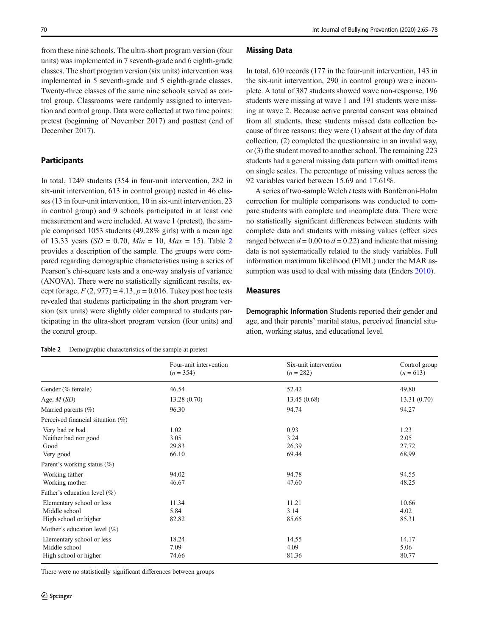from these nine schools. The ultra-short program version (four units) was implemented in 7 seventh-grade and 6 eighth-grade classes. The short program version (six units) intervention was implemented in 5 seventh-grade and 5 eighth-grade classes. Twenty-three classes of the same nine schools served as control group. Classrooms were randomly assigned to intervention and control group. Data were collected at two time points: pretest (beginning of November 2017) and posttest (end of December 2017).

#### **Participants**

In total, 1249 students (354 in four-unit intervention, 282 in six-unit intervention, 613 in control group) nested in 46 classes (13 in four-unit intervention, 10 in six-unit intervention, 23 in control group) and 9 schools participated in at least one measurement and were included. At wave 1 (pretest), the sample comprised 1053 students (49.28% girls) with a mean age of 13.33 years ( $SD = 0.70$ ,  $Min = 10$ ,  $Max = 15$ ). Table 2 provides a description of the sample. The groups were compared regarding demographic characteristics using a series of Pearson's chi-square tests and a one-way analysis of variance (ANOVA). There were no statistically significant results, except for age,  $F(2, 977) = 4.13$ ,  $p = 0.016$ . Tukey post hoc tests revealed that students participating in the short program version (six units) were slightly older compared to students participating in the ultra-short program version (four units) and the control group.

Table 2 Demographic characteristics of the sample at pretest

#### Missing Data

In total, 610 records (177 in the four-unit intervention, 143 in the six-unit intervention, 290 in control group) were incomplete. A total of 387 students showed wave non-response, 196 students were missing at wave 1 and 191 students were missing at wave 2. Because active parental consent was obtained from all students, these students missed data collection because of three reasons: they were (1) absent at the day of data collection, (2) completed the questionnaire in an invalid way, or (3) the student moved to another school. The remaining 223 students had a general missing data pattern with omitted items on single scales. The percentage of missing values across the 92 variables varied between 15.69 and 17.61%.

A series of two-sample Welch t tests with Bonferroni-Holm correction for multiple comparisons was conducted to compare students with complete and incomplete data. There were no statistically significant differences between students with complete data and students with missing values (effect sizes ranged between  $d = 0.00$  to  $d = 0.22$ ) and indicate that missing data is not systematically related to the study variables. Full information maximum likelihood (FIML) under the MAR as-sumption was used to deal with missing data (Enders [2010\)](#page-11-0).

#### Measures

Demographic Information Students reported their gender and age, and their parents' marital status, perceived financial situation, working status, and educational level.

|                                                                     | Four-unit intervention<br>$(n = 354)$ | Six-unit intervention<br>$(n = 282)$ | Control group<br>$(n = 613)$   |
|---------------------------------------------------------------------|---------------------------------------|--------------------------------------|--------------------------------|
| Gender (% female)                                                   | 46.54                                 | 52.42                                | 49.80                          |
| Age, $M(SD)$                                                        | 13.28(0.70)                           | 13.45(0.68)                          | 13.31(0.70)                    |
| Married parents $(\%)$                                              | 96.30                                 | 94.74                                | 94.27                          |
| Perceived financial situation $(\%)$                                |                                       |                                      |                                |
| Very bad or bad<br>Neither bad nor good<br>Good<br>Very good        | 1.02<br>3.05<br>29.83<br>66.10        | 0.93<br>3.24<br>26.39<br>69.44       | 1.23<br>2.05<br>27.72<br>68.99 |
| Parent's working status (%)                                         |                                       |                                      |                                |
| Working father<br>Working mother                                    | 94.02<br>46.67                        | 94.78<br>47.60                       | 94.55<br>48.25                 |
| Father's education level (%)                                        |                                       |                                      |                                |
| Elementary school or less<br>Middle school<br>High school or higher | 11.34<br>5.84<br>82.82                | 11.21<br>3.14<br>85.65               | 10.66<br>4.02<br>85.31         |
| Mother's education level $(\%)$                                     |                                       |                                      |                                |
| Elementary school or less<br>Middle school<br>High school or higher | 18.24<br>7.09<br>74.66                | 14.55<br>4.09<br>81.36               | 14.17<br>5.06<br>80.77         |

There were no statistically significant differences between groups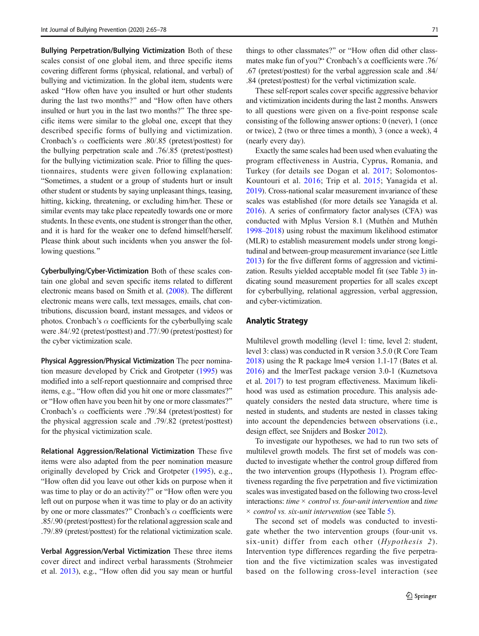Bullying Perpetration/Bullying Victimization Both of these scales consist of one global item, and three specific items covering different forms (physical, relational, and verbal) of bullying and victimization. In the global item, students were asked "How often have you insulted or hurt other students during the last two months?" and "How often have others insulted or hurt you in the last two months?" The three specific items were similar to the global one, except that they described specific forms of bullying and victimization. Cronbach's  $\alpha$  coefficients were .80/.85 (pretest/posttest) for the bullying perpetration scale and .76/.85 (pretest/posttest) for the bullying victimization scale. Prior to filling the questionnaires, students were given following explanation: "Sometimes, a student or a group of students hurt or insult other student or students by saying unpleasant things, teasing, hitting, kicking, threatening, or excluding him/her. These or similar events may take place repeatedly towards one or more students. In these events, one student is stronger than the other, and it is hard for the weaker one to defend himself/herself. Please think about such incidents when you answer the following questions."

Cyberbullying/Cyber-Victimization Both of these scales contain one global and seven specific items related to different electronic means based on Smith et al. ([2008](#page-12-0)). The different electronic means were calls, text messages, emails, chat contributions, discussion board, instant messages, and videos or photos. Cronbach's  $\alpha$  coefficients for the cyberbullying scale were .84/.92 (pretest/posttest) and .77/.90 (pretest/posttest) for the cyber victimization scale.

Physical Aggression/Physical Victimization The peer nomination measure developed by Crick and Grotpeter ([1995](#page-11-0)) was modified into a self-report questionnaire and comprised three items, e.g., "How often did you hit one or more classmates?" or "How often have you been hit by one or more classmates?" Cronbach's  $\alpha$  coefficients were .79/.84 (pretest/posttest) for the physical aggression scale and .79/.82 (pretest/posttest) for the physical victimization scale.

Relational Aggression/Relational Victimization These five items were also adapted from the peer nomination measure originally developed by Crick and Grotpeter [\(1995](#page-11-0)), e.g., "How often did you leave out other kids on purpose when it was time to play or do an activity?" or "How often were you left out on purpose when it was time to play or do an activity by one or more classmates?" Cronbach's  $\alpha$  coefficients were .85/.90 (pretest/posttest) for the relational aggression scale and .79/.89 (pretest/posttest) for the relational victimization scale.

Verbal Aggression/Verbal Victimization These three items cover direct and indirect verbal harassments (Strohmeier et al. [2013](#page-12-0)), e.g., "How often did you say mean or hurtful

things to other classmates?" or "How often did other classmates make fun of you?" Cronbach's  $\alpha$  coefficients were .76/ .67 (pretest/posttest) for the verbal aggression scale and .84/ .84 (pretest/posttest) for the verbal victimization scale.

These self-report scales cover specific aggressive behavior and victimization incidents during the last 2 months. Answers to all questions were given on a five-point response scale consisting of the following answer options: 0 (never), 1 (once or twice), 2 (two or three times a month), 3 (once a week), 4 (nearly every day).

Exactly the same scales had been used when evaluating the program effectiveness in Austria, Cyprus, Romania, and Turkey (for details see Dogan et al. [2017;](#page-11-0) Solomontos-Kountouri et al. [2016;](#page-12-0) Trip et al. [2015](#page-12-0); Yanagida et al. [2019\)](#page-13-0). Cross-national scalar measurement invariance of these scales was established (for more details see Yanagida et al. [2016\)](#page-13-0). A series of confirmatory factor analyses (CFA) was conducted with Mplus Version 8.1 (Muthén and Muthén [1998](#page-12-0)–2018) using robust the maximum likelihood estimator (MLR) to establish measurement models under strong longitudinal and between-group measurement invariance (see Little [2013\)](#page-12-0) for the five different forms of aggression and victimization. Results yielded acceptable model fit (see Table [3](#page-7-0)) indicating sound measurement properties for all scales except for cyberbullying, relational aggression, verbal aggression, and cyber-victimization.

#### Analytic Strategy

Multilevel growth modelling (level 1: time, level 2: student, level 3: class) was conducted in R version 3.5.0 (R Core Team [2018\)](#page-12-0) using the R package lme4 version 1.1-17 (Bates et al. [2016\)](#page-11-0) and the lmerTest package version 3.0-1 (Kuznetsova et al. [2017](#page-12-0)) to test program effectiveness. Maximum likelihood was used as estimation procedure. This analysis adequately considers the nested data structure, where time is nested in students, and students are nested in classes taking into account the dependencies between observations (i.e., design effect, see Snijders and Bosker [2012](#page-12-0)).

To investigate our hypotheses, we had to run two sets of multilevel growth models. The first set of models was conducted to investigate whether the control group differed from the two intervention groups (Hypothesis 1). Program effectiveness regarding the five perpetration and five victimization scales was investigated based on the following two cross-level interactions: time  $\times$  control vs. four-unit intervention and time  $\times$  control vs. six-unit intervention (see Table [5](#page-9-0)).

The second set of models was conducted to investigate whether the two intervention groups (four-unit vs. six-unit) differ from each other (*Hypothesis* 2). Intervention type differences regarding the five perpetration and the five victimization scales was investigated based on the following cross-level interaction (see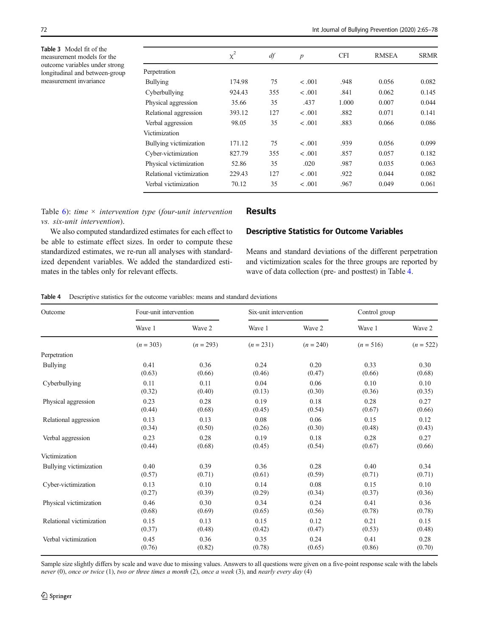<span id="page-7-0"></span>Table 3 Model fit of the measurement models for the outcome variables under strong longitudinal and between-group measurement invariance

|                          | $\chi^2$ | df  | $\boldsymbol{p}$ | <b>CFI</b> | <b>RMSEA</b> | <b>SRMR</b> |
|--------------------------|----------|-----|------------------|------------|--------------|-------------|
| Perpetration             |          |     |                  |            |              |             |
| <b>Bullying</b>          | 174.98   | 75  | $-.001$          | .948       | 0.056        | 0.082       |
| Cyberbullying            | 924.43   | 355 | $-.001$          | .841       | 0.062        | 0.145       |
| Physical aggression      | 35.66    | 35  | .437             | 1.000      | 0.007        | 0.044       |
| Relational aggression    | 393.12   | 127 | $-.001$          | .882       | 0.071        | 0.141       |
| Verbal aggression        | 98.05    | 35  | $-.001$          | .883       | 0.066        | 0.086       |
| Victimization            |          |     |                  |            |              |             |
| Bullying victimization   | 171.12   | 75  | $-.001$          | .939       | 0.056        | 0.099       |
| Cyber-victimization      | 827.79   | 355 | $-.001$          | .857       | 0.057        | 0.182       |
| Physical victimization   | 52.86    | 35  | .020             | .987       | 0.035        | 0.063       |
| Relational victimization | 229.43   | 127 | $-.001$          | .922       | 0.044        | 0.082       |
| Verbal victimization     | 70.12    | 35  | < 0.001          | .967       | 0.049        | 0.061       |
|                          |          |     |                  |            |              |             |

Table [6](#page-10-0)): time  $\times$  intervention type (four-unit intervention vs. six-unit intervention).

 $\overline{a}$ 

We also computed standardized estimates for each effect to be able to estimate effect sizes. In order to compute these standardized estimates, we re-run all analyses with standardized dependent variables. We added the standardized estimates in the tables only for relevant effects.

## Results

### Descriptive Statistics for Outcome Variables

Means and standard deviations of the different perpetration and victimization scales for the three groups are reported by wave of data collection (pre- and posttest) in Table 4.

|  | <b>Table 4</b> Descriptive statistics for the outcome variables: means and standard deviations |  |  |  |  |  |  |  |  |
|--|------------------------------------------------------------------------------------------------|--|--|--|--|--|--|--|--|
|--|------------------------------------------------------------------------------------------------|--|--|--|--|--|--|--|--|

| Outcome                  | Four-unit intervention |             | Six-unit intervention |             | Control group |             |
|--------------------------|------------------------|-------------|-----------------------|-------------|---------------|-------------|
|                          | Wave 1                 | Wave 2      | Wave 1                | Wave 2      | Wave 1        | Wave 2      |
|                          | $(n = 303)$            | $(n = 293)$ | $(n = 231)$           | $(n = 240)$ | $(n = 516)$   | $(n = 522)$ |
| Perpetration             |                        |             |                       |             |               |             |
| <b>Bullying</b>          | 0.41                   | 0.36        | 0.24                  | 0.20        | 0.33          | 0.30        |
|                          | (0.63)                 | (0.66)      | (0.46)                | (0.47)      | (0.66)        | (0.68)      |
| Cyberbullying            | 0.11                   | 0.11        | 0.04                  | 0.06        | 0.10          | 0.10        |
|                          | (0.32)                 | (0.40)      | (0.13)                | (0.30)      | (0.36)        | (0.35)      |
| Physical aggression      | 0.23                   | 0.28        | 0.19                  | 0.18        | 0.28          | 0.27        |
|                          | (0.44)                 | (0.68)      | (0.45)                | (0.54)      | (0.67)        | (0.66)      |
| Relational aggression    | 0.13                   | 0.13        | 0.08                  | 0.06        | 0.15          | 0.12        |
|                          | (0.34)                 | (0.50)      | (0.26)                | (0.30)      | (0.48)        | (0.43)      |
| Verbal aggression        | 0.23                   | 0.28        | 0.19                  | 0.18        | 0.28          | 0.27        |
|                          | (0.44)                 | (0.68)      | (0.45)                | (0.54)      | (0.67)        | (0.66)      |
| Victimization            |                        |             |                       |             |               |             |
| Bullying victimization   | 0.40                   | 0.39        | 0.36                  | 0.28        | 0.40          | 0.34        |
|                          | (0.57)                 | (0.71)      | (0.61)                | (0.59)      | (0.71)        | (0.71)      |
| Cyber-victimization      | 0.13                   | 0.10        | 0.14                  | 0.08        | 0.15          | 0.10        |
|                          | (0.27)                 | (0.39)      | (0.29)                | (0.34)      | (0.37)        | (0.36)      |
| Physical victimization   | 0.46                   | 0.30        | 0.34                  | 0.24        | 0.41          | 0.36        |
|                          | (0.68)                 | (0.69)      | (0.65)                | (0.56)      | (0.78)        | (0.78)      |
| Relational victimization | 0.15                   | 0.13        | 0.15                  | 0.12        | 0.21          | 0.15        |
|                          | (0.37)                 | (0.48)      | (0.42)                | (0.47)      | (0.53)        | (0.48)      |
| Verbal victimization     | 0.45                   | 0.36        | 0.35                  | 0.24        | 0.41          | 0.28        |
|                          | (0.76)                 | (0.82)      | (0.78)                | (0.65)      | (0.86)        | (0.70)      |

Sample size slightly differs by scale and wave due to missing values. Answers to all questions were given on a five-point response scale with the labels never (0), once or twice (1), two or three times a month (2), once a week (3), and nearly every day (4)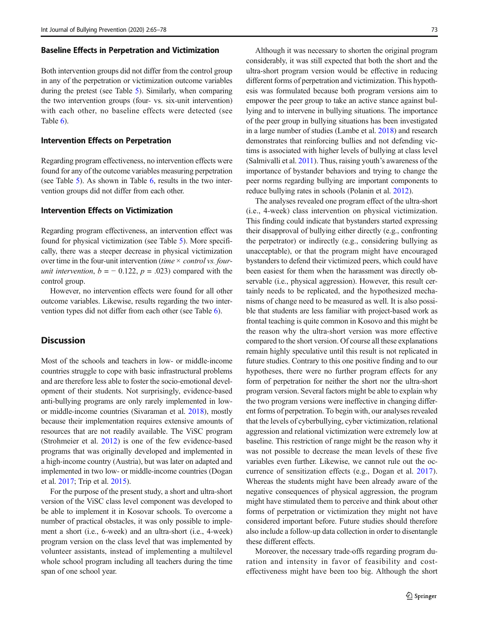#### Baseline Effects in Perpetration and Victimization

Both intervention groups did not differ from the control group in any of the perpetration or victimization outcome variables during the pretest (see Table [5\)](#page-9-0). Similarly, when comparing the two intervention groups (four- vs. six-unit intervention) with each other, no baseline effects were detected (see Table [6\)](#page-10-0).

### Intervention Effects on Perpetration

Regarding program effectiveness, no intervention effects were found for any of the outcome variables measuring perpetration (see Table [5](#page-9-0)). As shown in Table [6,](#page-10-0) results in the two intervention groups did not differ from each other.

#### Intervention Effects on Victimization

Regarding program effectiveness, an intervention effect was found for physical victimization (see Table [5\)](#page-9-0). More specifically, there was a steeper decrease in physical victimization over time in the four-unit intervention (time  $\times$  control vs. fourunit intervention,  $b = -0.122$ ,  $p = .023$ ) compared with the control group.

However, no intervention effects were found for all other outcome variables. Likewise, results regarding the two intervention types did not differ from each other (see Table [6\)](#page-10-0).

# **Discussion**

Most of the schools and teachers in low- or middle-income countries struggle to cope with basic infrastructural problems and are therefore less able to foster the socio-emotional development of their students. Not surprisingly, evidence-based anti-bullying programs are only rarely implemented in lowor middle-income countries (Sivaraman et al. [2018\)](#page-12-0), mostly because their implementation requires extensive amounts of resources that are not readily available. The ViSC program (Strohmeier et al. [2012](#page-12-0)) is one of the few evidence-based programs that was originally developed and implemented in a high-income country (Austria), but was later on adapted and implemented in two low- or middle-income countries (Dogan et al. [2017](#page-11-0); Trip et al. [2015](#page-12-0)).

For the purpose of the present study, a short and ultra-short version of the ViSC class level component was developed to be able to implement it in Kosovar schools. To overcome a number of practical obstacles, it was only possible to implement a short (i.e., 6-week) and an ultra-short (i.e., 4-week) program version on the class level that was implemented by volunteer assistants, instead of implementing a multilevel whole school program including all teachers during the time span of one school year.

Although it was necessary to shorten the original program considerably, it was still expected that both the short and the ultra-short program version would be effective in reducing different forms of perpetration and victimization. This hypothesis was formulated because both program versions aim to empower the peer group to take an active stance against bullying and to intervene in bullying situations. The importance of the peer group in bullying situations has been investigated in a large number of studies (Lambe et al. [2018\)](#page-12-0) and research demonstrates that reinforcing bullies and not defending victims is associated with higher levels of bullying at class level (Salmivalli et al. [2011](#page-12-0)). Thus, raising youth's awareness of the importance of bystander behaviors and trying to change the peer norms regarding bullying are important components to reduce bullying rates in schools (Polanin et al. [2012\)](#page-12-0).

The analyses revealed one program effect of the ultra-short (i.e., 4-week) class intervention on physical victimization. This finding could indicate that bystanders started expressing their disapproval of bullying either directly (e.g., confronting the perpetrator) or indirectly (e.g., considering bullying as unacceptable), or that the program might have encouraged bystanders to defend their victimized peers, which could have been easiest for them when the harassment was directly observable (i.e., physical aggression). However, this result certainly needs to be replicated, and the hypothesized mechanisms of change need to be measured as well. It is also possible that students are less familiar with project-based work as frontal teaching is quite common in Kosovo and this might be the reason why the ultra-short version was more effective compared to the short version. Of course all these explanations remain highly speculative until this result is not replicated in future studies. Contrary to this one positive finding and to our hypotheses, there were no further program effects for any form of perpetration for neither the short nor the ultra-short program version. Several factors might be able to explain why the two program versions were ineffective in changing different forms of perpetration. To begin with, our analyses revealed that the levels of cyberbullying, cyber victimization, relational aggression and relational victimization were extremely low at baseline. This restriction of range might be the reason why it was not possible to decrease the mean levels of these five variables even further. Likewise, we cannot rule out the occurrence of sensitization effects (e.g., Dogan et al. [2017](#page-11-0)). Whereas the students might have been already aware of the negative consequences of physical aggression, the program might have stimulated them to perceive and think about other forms of perpetration or victimization they might not have considered important before. Future studies should therefore also include a follow-up data collection in order to disentangle these different effects.

Moreover, the necessary trade-offs regarding program duration and intensity in favor of feasibility and costeffectiveness might have been too big. Although the short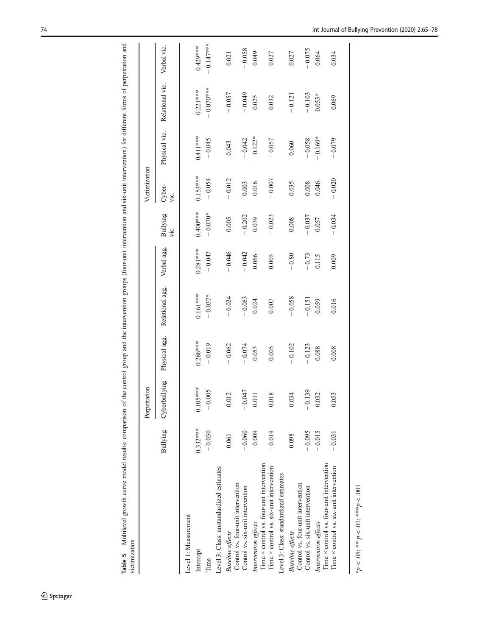<span id="page-9-0"></span>

|                                                                                              |            | Perpetration            |               |                 |             |                  | Victimization  |               |                 |             |
|----------------------------------------------------------------------------------------------|------------|-------------------------|---------------|-----------------|-------------|------------------|----------------|---------------|-----------------|-------------|
|                                                                                              | Bullying   | Cyberbullying           | Physical agg. | Relational agg. | Verbal agg. | Bullying<br>yic. | Cyber-<br>vic. | Physical vic. | Relational vic. | Verbal vic. |
| Level 1: Measurement                                                                         |            |                         |               |                 |             |                  |                |               |                 |             |
| Intercept                                                                                    | $0.332***$ | $0.105***$              | $0.286***$    | $0.161***$      | $0.281***$  | $0.400***$       | $0.153***$     | $0.411***$    | $0.221***$      | $0.429***$  |
| Time                                                                                         | $-0.030$   | 0.005<br>$\overline{1}$ | $-0.019$      | $-0.037*$       | $-0.047$    | $-0.070*$        | $-0.054$       | $-0.045$      | $0.070***$      | $-0.147***$ |
| Level 3: Class: unstandardized estimates                                                     |            |                         |               |                 |             |                  |                |               |                 |             |
| Control vs. four-unit intervention<br><b>Baseline</b> effects                                | 0.061      | 012<br>$\dot{\circ}$    | $-0.062$      | $-0.024$        | $-0.046$    | $0.005$          | $-0.012$       | 0.043         | $-0.057$        | 0.021       |
| Control vs. six-unit intervention                                                            | $-0.060$   | 0.047<br>$\bar{\rm I}$  | $-0.074$      | $-0.063$        | $-0.042$    | $-0.202$         | 0.003          | $-0.042$      | $-0.049$        | $-0.058$    |
| Time $\times$ control vs. four-unit intervention<br>Intervention effects                     | $-0.009$   | 0.011                   | 0.053         | 0.024           | 0.066       | 0.039            | 0.016          | $-0.122*$     | 0.025           | 0.049       |
| Time $\times$ control vs. six-unit intervention                                              | $-0.019$   | 018<br>ö                | 0.005         | $0.007$         | 0.005       | $-0.023$         | $-0.007$       | $-0.057$      | 0.032           | 0.027       |
| Level 3: Class: standardized estimates                                                       |            |                         |               |                 |             |                  |                |               |                 |             |
| Control vs. four-unit intervention<br><b>Baseline</b> effects                                | 0.098      | 0.034                   | $-0.102$      | $-0.058$        | $-0.80$     | 0,008            | 0.035          | 0.060         | $-0.121$        | 0.027       |
| Control vs. six-unit intervention                                                            | $-0.095$   | 0.139<br>$\overline{1}$ | $-0.123$      | $-0.151$        | $-0.73$     | $-0.037$         | 0.008          | $-0.058$      | $-0.103$        | $-0.075$    |
| Intervention effects                                                                         | $-0.015$   | 0.032                   | 0.088         | 0.059           | 0.115       | 0.057            | 0.046          | $-0.169*$     | $0.053*$        | 0.064       |
| Time × control vs. four-unit intervention<br>Time $\times$ control vs. six-unit intervention | $-0.031$   | 0.053                   | 0.008         | 0.016           | 0.009       | $-0.034$         | $-0.020$       | $-0.079$      | 0.069           | 0.034       |
|                                                                                              |            |                         |               |                 |             |                  |                |               |                 |             |

 $*_{p} < .05; **p < .01; **p < .001$  $*p < .05; **p < .01; **p < .001$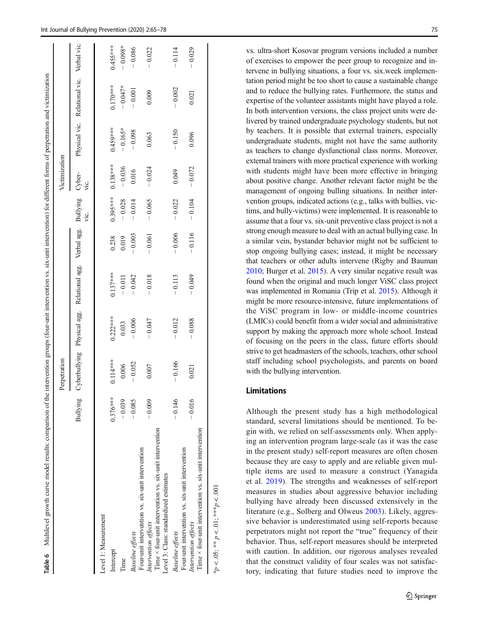<span id="page-10-0"></span>

|           | Table 6 Multilevel growth curve model results: comparison of Y                                                                             |            |              |            | the intervention groups (four-unit intervention vs. six-unit intervention) for different forms of perpetration and victimization |          |                     |                |            |                                           |            |
|-----------|--------------------------------------------------------------------------------------------------------------------------------------------|------------|--------------|------------|----------------------------------------------------------------------------------------------------------------------------------|----------|---------------------|----------------|------------|-------------------------------------------|------------|
|           |                                                                                                                                            |            | Perpetration |            |                                                                                                                                  |          |                     | Victimization  |            |                                           |            |
|           |                                                                                                                                            | Bullying   |              |            | Cyberbullying Physical agg. Relational agg. Verbal agg.                                                                          |          | Bullying<br>.<br>Si | Cyber-<br>vic. |            | Physical vic. Relational vic. Verbal vic. |            |
|           | Level 1: Measurement                                                                                                                       |            |              |            |                                                                                                                                  |          |                     |                |            |                                           |            |
| Intercept |                                                                                                                                            | $0.376***$ | $0.114***$   | $0.222***$ | $0.137***$                                                                                                                       | 0.238    | $0.395***$          | $0.138***$     | $0.459***$ | $0.170***$                                | $0.455***$ |
| Time      |                                                                                                                                            | $-0.039$   | 0.006        | 0.033      | $-0.011$                                                                                                                         | 0.019    | $-0.028$            | $-0.036$       | $-0.165*$  | $-0.047*$                                 | $-0.098*$  |
|           | <b>Baseline</b> effects                                                                                                                    | $-0.085$   | $-0.052$     | $-0.006$   | $-0.042$                                                                                                                         | $-0.003$ | $-0.014$            | 0.016          | $-0.098$   | $-0.001$                                  | $-0.086$   |
|           | Four-unit intervention vs. six-unit intervention                                                                                           |            |              |            |                                                                                                                                  |          |                     |                |            |                                           |            |
|           | Time $\times$ four-unit intervention vs. six-unit intervention<br>Level 3: Class: standardized estimates<br>Intervention effects           | $-0.005$   | 0.007        | $-0.047$   | $-0.018$                                                                                                                         | $-0.061$ | $-0.065$            | $-0.024$       | 0.063      | 0.009                                     | $-0.022$   |
|           | <b>Baseline</b> effects                                                                                                                    | $-0.146$   | $-0.166$     | $-0.012$   | $-0.113$                                                                                                                         | $-0.006$ | $-0.022$            | 0.049          | $-0.150$   | $-0.002$                                  | $-0.114$   |
|           | Time $\times$ four-unit intervention vs. six-unit intervention<br>Four-unit intervention vs. six-unit intervention<br>Intervention effects | $-0.016$   | 0.021        | $-0.088$   | $-0.049$                                                                                                                         | $-0.116$ | $-0.104$            | $-0.072$       | 0.096      | 0.021                                     | $-0.029$   |
|           | * $p < 0.05$ ; ** $p < 0.1$ ; *** $p < 0.01$                                                                                               |            |              |            |                                                                                                                                  |          |                     |                |            |                                           |            |

tervene in bullying situations, a four vs. six.week implementation period might be too short to cause a sustainable change and to reduce the bullying rates. Furthermore, the status and expertise of the volunteer assistants might have played a role. In both intervention versions, the class project units were delivered by trained undergraduate psychology students, but not by teachers. It is possible that external trainers, especially undergraduate students, might not have the same authority as teachers to change dysfunctional class norms. Moreover, external trainers with more practical experience with working with students might have been more effective in bringing about positive change. Another relevant factor might be the management of ongoing bulling situations. In neither intervention groups, indicated actions (e.g., talks with bullies, victims, and bully-victims) were implemented. It is reasonable to assume that a four vs. six-unit preventive class project is not a strong enough measure to deal with an actual bullying case. In a similar vein, bystander behavior might not be sufficient to stop ongoing bullying cases; instead, it might be necessary that teachers or other adults intervene (Rigby and Bauman [2010;](#page-12-0) Burger et al. [2015](#page-11-0)). A very similar negative result was found when the original and much longer ViSC class project was implemented in Romania (Trip et al. [2015\)](#page-12-0). Although it might be more resource-intensive, future implementations of the ViSC program in low- or middle-income countries (LMICs) could benefit from a wider social and administrative support by making the approach more whole school. Instead of focusing on the peers in the class, future efforts should strive to get headmasters of the schools, teachers, other school staff including school psychologists, and parents on board with the bullying intervention.

vs. ultra-short Kosovar program versions included a number of exercises to empower the peer group to recognize and in-

### Limitations

Although the present study has a high methodological standard, several limitations should be mentioned. To begin with, we relied on self-assessments only. When applying an intervention program large-scale (as it was the case in the present study) self-report measures are often chosen because they are easy to apply and are reliable given multiple items are used to measure a construct (Yanagida et al. [2019](#page-13-0)). The strengths and weaknesses of self-report measures in studies about aggressive behavior including bullying have already been discussed extensively in the literature (e.g., Solberg and Olweus [2003\)](#page-12-0). Likely, aggressive behavior is underestimated using self-reports because perpetrators might not report the "true" frequency of their behavior. Thus, self-report measures should be interpreted with caution. In addition, our rigorous analyses revealed that the construct validity of four scales was not satisfactory, indicating that future studies need to improve the

2 Springer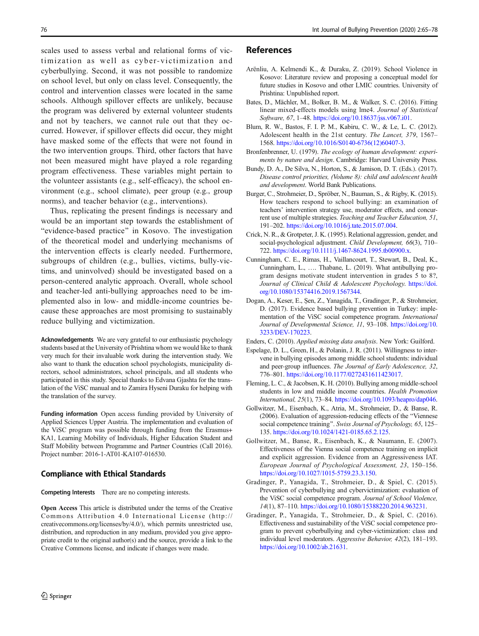<span id="page-11-0"></span>scales used to assess verbal and relational forms of victimization as well as cyber-victimization and cyberbullying. Second, it was not possible to randomize on school level, but only on class level. Consequently, the control and intervention classes were located in the same schools. Although spillover effects are unlikely, because the program was delivered by external volunteer students and not by teachers, we cannot rule out that they occurred. However, if spillover effects did occur, they might have masked some of the effects that were not found in the two intervention groups. Third, other factors that have not been measured might have played a role regarding program effectiveness. These variables might pertain to the volunteer assistants (e.g., self-efficacy), the school environment (e.g., school climate), peer group (e.g., group norms), and teacher behavior (e.g., interventions).

Thus, replicating the present findings is necessary and would be an important step towards the establishment of "evidence-based practice" in Kosovo. The investigation of the theoretical model and underlying mechanisms of the intervention effects is clearly needed. Furthermore, subgroups of children (e.g., bullies, victims, bully-victims, and uninvolved) should be investigated based on a person-centered analytic approach. Overall, whole school and teacher-led anti-bullying approaches need to be implemented also in low- and middle-income countries because these approaches are most promising to sustainably reduce bullying and victimization.

Acknowledgements We are very grateful to our enthusiastic psychology students based at the University of Prishtina whom we would like to thank very much for their invaluable work during the intervention study. We also want to thank the education school psychologists, municipality directors, school administrators, school principals, and all students who participated in this study. Special thanks to Edvana Gjashta for the translation of the ViSC manual and to Zamira Hyseni Duraku for helping with the translation of the survey.

Funding information Open access funding provided by University of Applied Sciences Upper Austria. The implementation and evaluation of the ViSC program was possible through funding from the Erasmus+ KA1, Learning Mobility of Individuals, Higher Education Student and Staff Mobility between Programme and Partner Countries (Call 2016). Project number: 2016-1-AT01-KA107-016530.

#### Compliance with Ethical Standards

Competing Interests There are no competing interests.

Open Access This article is distributed under the terms of the Creative Commons Attribution 4.0 International License (http:// creativecommons.org/licenses/by/4.0/), which permits unrestricted use, distribution, and reproduction in any medium, provided you give appropriate credit to the original author(s) and the source, provide a link to the Creative Commons license, and indicate if changes were made.

#### References

- Arënliu, A. Kelmendi K., & Duraku, Z. (2019). School Violence in Kosovo: Literature review and proposing a conceptual model for future studies in Kosovo and other LMIC countries. University of Prishtina: Unpublished report.
- Bates, D., Mächler, M., Bolker, B. M., & Walker, S. C. (2016). Fitting linear mixed-effects models using lme4. Journal of Statistical Software, 67, 1–48. <https://doi.org/10.18637/jss.v067.i01>.
- Blum, R. W., Bastos, F. I. P. M., Kabiru, C. W., & Le, L. C. (2012). Adolescent health in the 21st century. The Lancet, 379, 1567– 1568. [https://doi.org/10.1016/S0140-6736\(12\)60407-3](https://doi.org/10.1016/S0140-6736(12)60407-3).
- Bronfenbrenner, U. (1979). The ecology of human development: experiments by nature and design. Cambridge: Harvard University Press.
- Bundy, D. A., De Silva, N., Horton, S., & Jamison, D. T. (Eds.). (2017). Disease control priorities, (Volume 8): child and adolescent health and development. World Bank Publications.
- Burger, C., Strohmeier, D., Spröber, N., Bauman, S., & Rigby, K. (2015). How teachers respond to school bullying: an examination of teachers' intervention strategy use, moderator effects, and concurrent use of multiple strategies. Teaching and Teacher Education, 51, 191–202. <https://doi.org/10.1016/j.tate.2015.07.004>.
- Crick, N. R., & Grotpeter, J. K. (1995). Relational aggression, gender, and social-psychological adjustment. Child Development, 66(3), 710– 722. [https://doi.org/10.1111/j.1467-8624.1995.tb00900.x.](https://doi.org/10.1111/j.1467-8624.1995.tb00900.x)
- Cunningham, C. E., Rimas, H., Vaillancourt, T., Stewart, B., Deal, K., Cunningham, L., …. Thabane, L. (2019). What antibullying program designs motivate student intervention in grades 5 to 8?, Journal of Clinical Child & Adolescent Psychology. [https://doi.](https://doi.org/10.1080/15374416.2019.1567344) [org/10.1080/15374416.2019.1567344.](https://doi.org/10.1080/15374416.2019.1567344)
- Dogan, A., Keser, E., Şen, Z., Yanagida, T., Gradinger, P., & Strohmeier, D. (2017). Evidence based bullying prevention in Turkey: implementation of the ViSC social competence program. International Journal of Developmental Science, 11, 93–108. [https://doi.org/10.](https://doi.org/10.3233/DEV-170223) [3233/DEV-170223.](https://doi.org/10.3233/DEV-170223)
- Enders, C. (2010). Applied missing data analysis. New York: Guilford.
- Espelage, D. L., Green, H., & Polanin, J. R. (2011). Willingness to intervene in bullying episodes among middle school students: individual and peer-group influences. The Journal of Early Adolescence, 32, 776–801. [https://doi.org/10.1177/0272431611423017.](https://doi.org/10.1177/0272431611423017)
- Fleming, L. C., & Jacobsen, K. H. (2010). Bullying among middle-school students in low and middle income countries. Health Promotion International, 25(1), 73–84. <https://doi.org/10.1093/heapro/dap046>.
- Gollwitzer, M., Eisenbach, K., Atria, M., Strohmeier, D., & Banse, R. (2006). Evaluation of aggression-reducing effects of the "Viennese social competence training". Swiss Journal of Psychology, 65, 125– 135. <https://doi.org/10.1024/1421-0185.65.2.125>.
- Gollwitzer, M., Banse, R., Eisenbach, K., & Naumann, E. (2007). Effectiveness of the Vienna social competence training on implicit and explicit aggression. Evidence from an Aggressiveness IAT. European Journal of Psychological Assessment, 23, 150–156. [https://doi.org/10.1027/1015-5759.23.3.150.](https://doi.org/10.1027/1015-5759.23.3.150)
- Gradinger, P., Yanagida, T., Strohmeier, D., & Spiel, C. (2015). Prevention of cyberbullying and cybervictimization: evaluation of the ViSC social competence program. Journal of School Violence, 14(1), 87–110. <https://doi.org/10.1080/15388220.2014.963231>.
- Gradinger, P., Yanagida, T., Strohmeier, D., & Spiel, C. (2016). Effectiveness and sustainability of the ViSC social competence program to prevent cyberbullying and cyber-victimization: class and individual level moderators. Aggressive Behavior, 42(2), 181–193. <https://doi.org/10.1002/ab.21631>.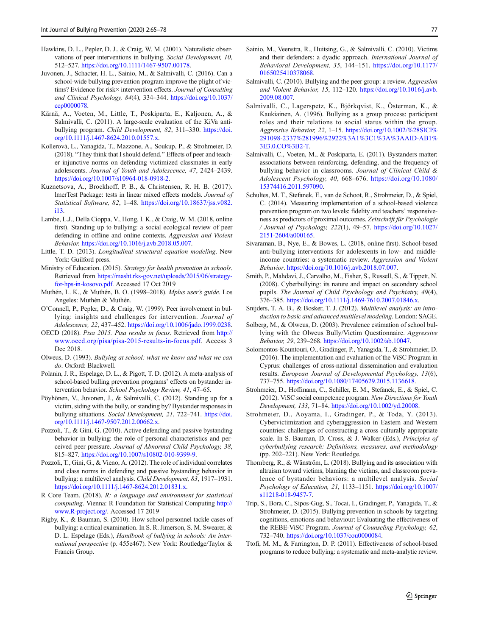- <span id="page-12-0"></span>Hawkins, D. L., Pepler, D. J., & Craig, W. M. (2001). Naturalistic observations of peer interventions in bullying. Social Development, 10, 512–527. [https://doi.org/10.1111/1467-9507.00178.](https://doi.org/10.1111/1467-9507.00178)
- Juvonen, J., Schacter, H. L., Sainio, M., & Salmivalli, C. (2016). Can a school-wide bullying prevention program improve the plight of victims? Evidence for risk× intervention effects. Journal of Consulting and Clinical Psychology, 84(4), 334–344. [https://doi.org/10.1037/](https://doi.org/10.1037/ccp0000078) [ccp0000078](https://doi.org/10.1037/ccp0000078).
- Kärnä, A., Voeten, M., Little, T., Poskiparta, E., Kaljonen, A., & Salmivalli, C. (2011). A large-scale evaluation of the KiVa antibullying program. Child Development, 82, 311-330. [https://doi.](https://doi.org/10.1111/j.1467-8624.2010.01557.x) [org/10.1111/j.1467-8624.2010.01557.x.](https://doi.org/10.1111/j.1467-8624.2010.01557.x)
- Kollerová, L., Yanagida, T., Mazzone, A., Soukup, P., & Strohmeier, D. (2018). "They think that I should defend." Effects of peer and teacher injunctive norms on defending victimized classmates in early adolescents. Journal of Youth and Adolescence, 47, 2424–2439. [https://doi.org/10.1007/s10964-018-0918-2.](https://doi.org/10.1007/s10964-018-0918-2)
- Kuznetsova, A., Brockhoff, P. B., & Christensen, R. H. B. (2017). lmerTest Package: tests in linear mixed effects models. Journal of Statistical Software, 82, 1–48. [https://doi.org/10.18637/jss.v082.](https://doi.org/10.18637/jss.v082.i13) [i13](https://doi.org/10.18637/jss.v082.i13).
- Lambe, L.J., Della Cioppa, V., Hong, I. K., & Craig, W. M. (2018, online first). Standing up to bullying: a social ecological review of peer defending in offline and online contexts. Aggression and Violent Behavior. [https://doi.org/10.1016/j.avb.2018.05.007.](https://doi.org/10.1016/j.avb.2018.05.007)
- Little, T. D. (2013). Longitudinal structural equation modeling. New York: Guilford press.
- Ministry of Education. (2015). Strategy for health promotion in schools. Retrieved from [https://masht.rks-gov.net/uploads/2015/06/strategy](https://masht.rks-gov.net/uploads/2015/06/strategy-for-hps-in-kosovo.pdf)[for-hps-in-kosovo.pdf.](https://masht.rks-gov.net/uploads/2015/06/strategy-for-hps-in-kosovo.pdf) Accessed 17 Oct 2019
- Muthén, L. K., & Muthén, B. O. (1998–2018). Mplus user's guide. Los Angeles: Muthén & Muthén.
- O'Connell, P., Pepler, D., & Craig, W. (1999). Peer involvement in bullying: insights and challenges for intervention. Journal of Adolescence, 22, 437–452. <https://doi.org/10.1006/jado.1999.0238>.
- OECD (2018). Pisa 2015. Pisa results in focus. Retrieved from [http://](http://www.oecd.org/pisa/pisa-2015-results-in-focus.pdf) [www.oecd.org/pisa/pisa-2015-results-in-focus.pdf](http://www.oecd.org/pisa/pisa-2015-results-in-focus.pdf). Access 3 Dec 2018.
- Olweus, D. (1993). Bullying at school: what we know and what we can do. Oxford: Blackwell.
- Polanin, J. R., Espelage, D. L., & Pigott, T. D. (2012). A meta-analysis of school-based bulling prevention programs' effects on bystander intervention behavior. School Psychology Review, 41, 47–65.
- Pöyhönen, V., Juvonen, J., & Salmivalli, C. (2012). Standing up for a victim, siding with the bully, or standing by? Bystander responses in bullying situations. Social Development, 21, 722-741. [https://doi.](https://doi.org/10.1111/j.1467-9507.2012.00662.x) [org/10.1111/j.1467-9507.2012.00662.x.](https://doi.org/10.1111/j.1467-9507.2012.00662.x)
- Pozzoli, T., & Gini, G. (2010). Active defending and passive bystanding behavior in bullying: the role of personal characteristics and perceived peer pressure. Journal of Abnormal Child Psychology, 38, 815–827. [https://doi.org/10.1007/s10802-010-9399-9.](https://doi.org/10.1007/s10802-010-9399-9)
- Pozzoli, T., Gini, G., & Vieno, A. (2012). The role of individual correlates and class norms in defending and passive bystanding behavior in bullying: a multilevel analysis. Child Development, 83, 1917–1931. <https://doi.org/10.1111/j.1467-8624.2012.01831.x>.
- R Core Team. (2018). R: a language and environment for statistical computing. Vienna: R Foundation for Statistical Computing [http://](http://www.r-project.org/) [www.R-project.org/](http://www.r-project.org/). Accessed 17 2019
- Rigby, K., & Bauman, S. (2010). How school personnel tackle cases of bullying: a critical examination. In S. R. Jimerson, S. M. Swearer, & D. L. Espelage (Eds.), Handbook of bullying in schools: An international perspective (p. 455e467). New York: Routledge/Taylor & Francis Group.
- Sainio, M., Veenstra, R., Huitsing, G., & Salmivalli, C. (2010). Victims and their defenders: a dyadic approach. International Journal of Behavioral Development, 35, 144–151. [https://doi.org/10.1177/](https://doi.org/10.1177/0165025410378068) [0165025410378068](https://doi.org/10.1177/0165025410378068).
- Salmivalli, C. (2010). Bullying and the peer group: a review. Aggression and Violent Behavior, 15, 112–120. [https://doi.org/10.1016/j.avb.](https://doi.org/10.1016/j.avb.2009.08.007) [2009.08.007](https://doi.org/10.1016/j.avb.2009.08.007).
- Salmivalli, C., Lagerspetz, K., Björkqvist, K., Österman, K., & Kaukiainen, A. (1996). Bullying as a group process: participant roles and their relations to social status within the group. Aggressive Behavior, 22, 1–15. [https://doi.org/10.1002/%28SICI%](https://doi.org/10.1002/%28SICI%291098-2337%281996%2922%3A1%3C1%3A%3AAID-AB1%3E3.0.CO%3B2-T) [291098-2337%281996%2922%3A1%3C1%3A%3AAID-AB1%](https://doi.org/10.1002/%28SICI%291098-2337%281996%2922%3A1%3C1%3A%3AAID-AB1%3E3.0.CO%3B2-T) [3E3.0.CO%3B2-T.](https://doi.org/10.1002/%28SICI%291098-2337%281996%2922%3A1%3C1%3A%3AAID-AB1%3E3.0.CO%3B2-T)
- Salmivalli, C., Voeten, M., & Poskiparta, E. (2011). Bystanders matter: associations between reinforcing, defending, and the frequency of bullying behavior in classrooms. Journal of Clinical Child & Adolescent Psychology, 40, 668–676. [https://doi.org/10.1080/](https://doi.org/10.1080/15374416.2011.597090) [15374416.2011.597090](https://doi.org/10.1080/15374416.2011.597090).
- Schultes, M. T., Stefanek, E., van de Schoot, R., Strohmeier, D., & Spiel, C. (2014). Measuring implementation of a school-based violence prevention program on two levels: fidelity and teachers' responsiveness as predictors of proximal outcomes. Zeitschrift für Psychologie / Journal of Psychology, 222(1), 49–57. [https://doi.org/10.1027/](https://doi.org/10.1027/2151-2604/a000165) [2151-2604/a000165](https://doi.org/10.1027/2151-2604/a000165).
- Sivaraman, B., Nye, E., & Bowes, L. (2018, online first). School-based anti-bullying interventions for adolescents in low- and middleincome countries: a systematic review. Aggression and Violent Behavior. <https://doi.org/10.1016/j.avb.2018.07.007>.
- Smith, P., Mahdavi, J., Carvalho, M., Fisher, S., Russell, S., & Tippett, N. (2008). Cyberbullying: its nature and impact on secondary school pupils. The Journal of Child Psychology and Psychiatry, 49(4), 376–385. [https://doi.org/10.1111/j.1469-7610.2007.01846.x.](https://doi.org/10.1111/j.1469-7610.2007.01846.x)
- Snijders, T. A. B., & Bosker, T. J. (2012). Multilevel analysis: an introduction to basic and advanced multilevel modeling. London: SAGE.
- Solberg, M., & Olweus, D. (2003). Prevalence estimation of school bullying with the Olweus Bully/Victim Questionnaire. Aggressive Behavior, 29, 239–268. [https://doi.org/10.1002/ab.10047.](https://doi.org/10.1002/ab.10047)
- Solomontos-Kountouri, O., Gradinger, P., Yanagida, T., & Strohmeier, D. (2016). The implementation and evaluation of the ViSC Program in Cyprus: challenges of cross-national dissemination and evaluation results. European Journal of Developmental Psychology, 13(6), 737–755. [https://doi.org/10.1080/17405629.2015.1136618.](https://doi.org/10.1080/17405629.2015.1136618)
- Strohmeier, D., Hoffmann, C., Schiller, E. M., Stefanek, E., & Spiel, C. (2012). ViSC social competence program. New Directions for Youth Development, 133, 71–84. <https://doi.org/10.1002/yd.20008>.
- Strohmeier, D., Aoyama, I., Gradinger, P., & Toda, Y. (2013). Cybervictimization and cyberaggression in Eastern and Western countries: challenges of constructing a cross culturally appropriate scale. In S. Bauman, D. Cross, & J. Walker (Eds.), Principles of cyberbullying research: Definitions, measures, and methodology (pp. 202–221). New York: Routledge.
- Thornberg, R., & Wänström, L. (2018). Bullying and its association with altruism toward victims, blaming the victims, and classroom prevalence of bystander behaviors: a multilevel analysis. Social Psychology of Education, 21, 1133–1151. [https://doi.org/10.1007/](https://doi.org/10.1007/s11218-018-9457-7) [s11218-018-9457-7.](https://doi.org/10.1007/s11218-018-9457-7)
- Trip, S., Bora, C., Sipos-Gug, S., Tocai, I., Gradinger, P., Yanagida, T., & Strohmeier, D. (2015). Bullying prevention in schools by targeting cognitions, emotions and behaviour: Evaluating the effectiveness of the REBE-ViSC Program. Journal of Counseling Psychology, 62, 732–740. <https://doi.org/10.1037/cou0000084>.
- Ttofi, M. M., & Farrington, D. P. (2011). Effectiveness of school-based programs to reduce bullying: a systematic and meta-analytic review.